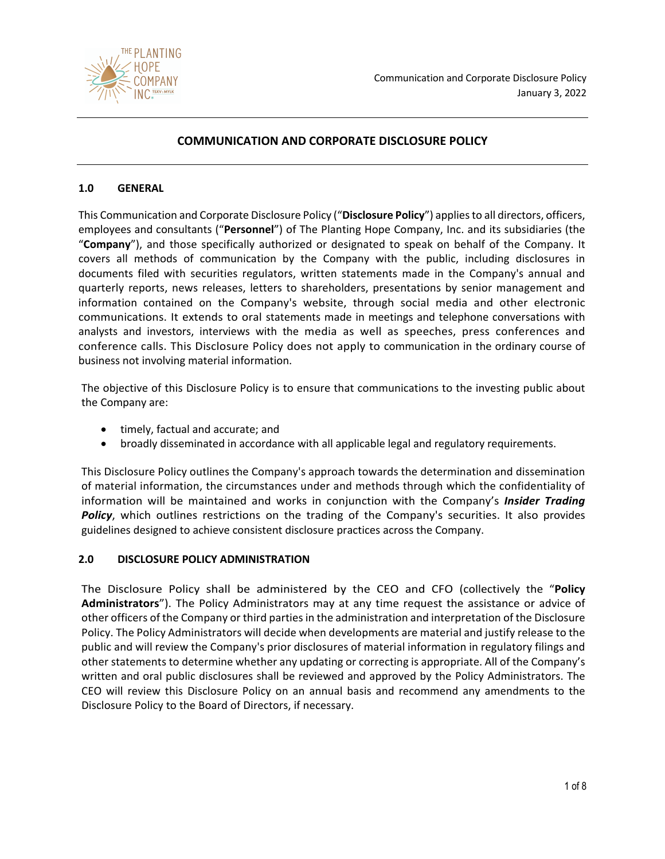

# **COMMUNICATION AND CORPORATE DISCLOSURE POLICY**

#### **1.0 GENERAL**

This Communication and Corporate Disclosure Policy ("**Disclosure Policy**") applies to all directors, officers, employees and consultants ("**Personnel**") of The Planting Hope Company, Inc. and its subsidiaries (the "**Company**"), and those specifically authorized or designated to speak on behalf of the Company. It covers all methods of communication by the Company with the public, including disclosures in documents filed with securities regulators, written statements made in the Company's annual and quarterly reports, news releases, letters to shareholders, presentations by senior management and information contained on the Company's website, through social media and other electronic communications. It extends to oral statements made in meetings and telephone conversations with analysts and investors, interviews with the media as well as speeches, press conferences and conference calls. This Disclosure Policy does not apply to communication in the ordinary course of business not involving material information.

The objective of this Disclosure Policy is to ensure that communications to the investing public about the Company are:

- timely, factual and accurate; and
- broadly disseminated in accordance with all applicable legal and regulatory requirements.

This Disclosure Policy outlines the Company's approach towards the determination and dissemination of material information, the circumstances under and methods through which the confidentiality of information will be maintained and works in conjunction with the Company's *Insider Trading*  **Policy**, which outlines restrictions on the trading of the Company's securities. It also provides guidelines designed to achieve consistent disclosure practices across the Company.

#### **2.0 DISCLOSURE POLICY ADMINISTRATION**

The Disclosure Policy shall be administered by the CEO and CFO (collectively the "**Policy Administrators**"). The Policy Administrators may at any time request the assistance or advice of other officers of the Company or third parties in the administration and interpretation of the Disclosure Policy. The Policy Administrators will decide when developments are material and justify release to the public and will review the Company's prior disclosures of material information in regulatory filings and other statements to determine whether any updating or correcting is appropriate. All of the Company's written and oral public disclosures shall be reviewed and approved by the Policy Administrators. The CEO will review this Disclosure Policy on an annual basis and recommend any amendments to the Disclosure Policy to the Board of Directors, if necessary.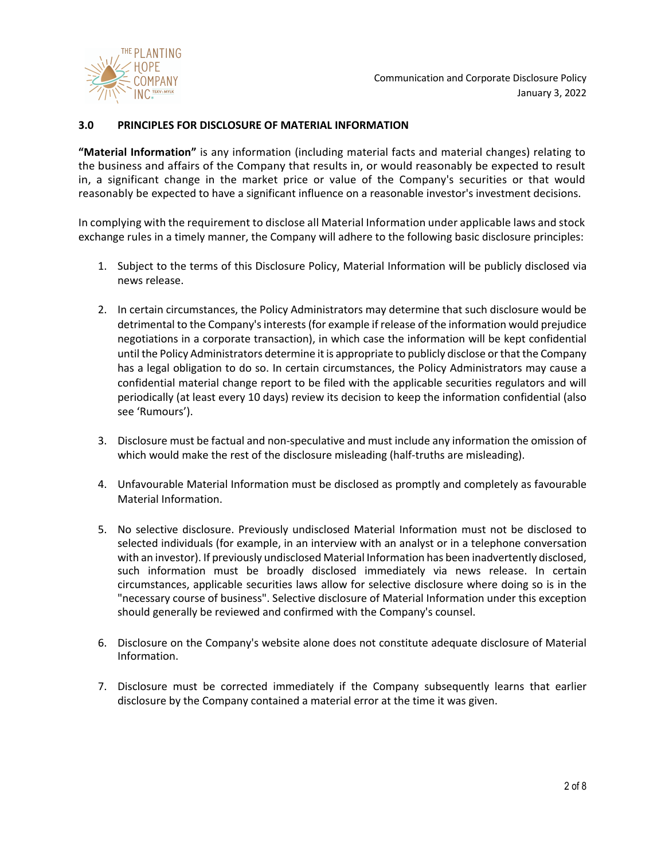

#### **3.0 PRINCIPLES FOR DISCLOSURE OF MATERIAL INFORMATION**

**"Material Information"** is any information (including material facts and material changes) relating to the business and affairs of the Company that results in, or would reasonably be expected to result in, a significant change in the market price or value of the Company's securities or that would reasonably be expected to have a significant influence on a reasonable investor's investment decisions.

In complying with the requirement to disclose all Material Information under applicable laws and stock exchange rules in a timely manner, the Company will adhere to the following basic disclosure principles:

- 1. Subject to the terms of this Disclosure Policy, Material Information will be publicly disclosed via news release.
- 2. In certain circumstances, the Policy Administrators may determine that such disclosure would be detrimental to the Company's interests (for example if release of the information would prejudice negotiations in a corporate transaction), in which case the information will be kept confidential until the Policy Administrators determine it is appropriate to publicly disclose or that the Company has a legal obligation to do so. In certain circumstances, the Policy Administrators may cause a confidential material change report to be filed with the applicable securities regulators and will periodically (at least every 10 days) review its decision to keep the information confidential (also see 'Rumours').
- 3. Disclosure must be factual and non-speculative and must include any information the omission of which would make the rest of the disclosure misleading (half-truths are misleading).
- 4. Unfavourable Material Information must be disclosed as promptly and completely as favourable Material Information.
- 5. No selective disclosure. Previously undisclosed Material Information must not be disclosed to selected individuals (for example, in an interview with an analyst or in a telephone conversation with an investor). If previously undisclosed Material Information has been inadvertently disclosed, such information must be broadly disclosed immediately via news release. In certain circumstances, applicable securities laws allow for selective disclosure where doing so is in the "necessary course of business". Selective disclosure of Material Information under this exception should generally be reviewed and confirmed with the Company's counsel.
- 6. Disclosure on the Company's website alone does not constitute adequate disclosure of Material Information.
- 7. Disclosure must be corrected immediately if the Company subsequently learns that earlier disclosure by the Company contained a material error at the time it was given.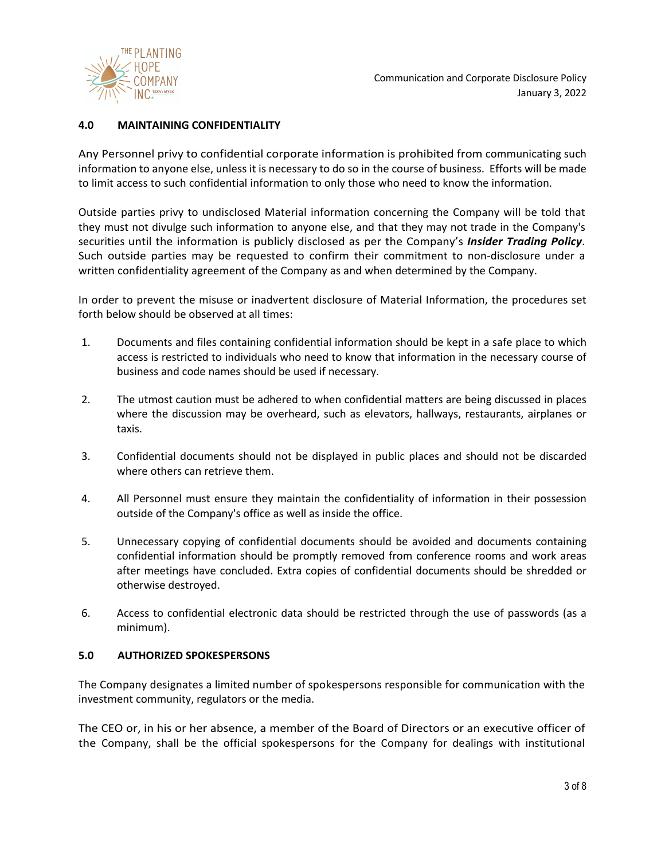

## **4.0 MAINTAINING CONFIDENTIALITY**

Any Personnel privy to confidential corporate information is prohibited from communicating such information to anyone else, unless it is necessary to do so in the course of business. Efforts will be made to limit access to such confidential information to only those who need to know the information.

Outside parties privy to undisclosed Material information concerning the Company will be told that they must not divulge such information to anyone else, and that they may not trade in the Company's securities until the information is publicly disclosed as per the Company's *Insider Trading Policy*. Such outside parties may be requested to confirm their commitment to non-disclosure under a written confidentiality agreement of the Company as and when determined by the Company.

In order to prevent the misuse or inadvertent disclosure of Material Information, the procedures set forth below should be observed at all times:

- 1. Documents and files containing confidential information should be kept in a safe place to which access is restricted to individuals who need to know that information in the necessary course of business and code names should be used if necessary.
- 2. The utmost caution must be adhered to when confidential matters are being discussed in places where the discussion may be overheard, such as elevators, hallways, restaurants, airplanes or taxis.
- 3. Confidential documents should not be displayed in public places and should not be discarded where others can retrieve them.
- 4. All Personnel must ensure they maintain the confidentiality of information in their possession outside of the Company's office as well as inside the office.
- 5. Unnecessary copying of confidential documents should be avoided and documents containing confidential information should be promptly removed from conference rooms and work areas after meetings have concluded. Extra copies of confidential documents should be shredded or otherwise destroyed.
- 6. Access to confidential electronic data should be restricted through the use of passwords (as a minimum).

#### **5.0 AUTHORIZED SPOKESPERSONS**

The Company designates a limited number of spokespersons responsible for communication with the investment community, regulators or the media.

The CEO or, in his or her absence, a member of the Board of Directors or an executive officer of the Company, shall be the official spokespersons for the Company for dealings with institutional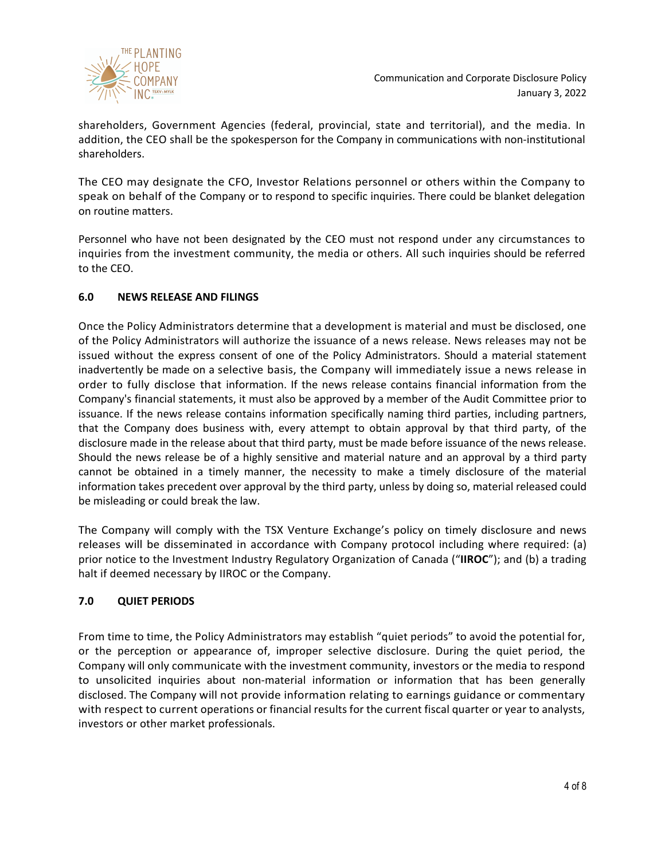

shareholders, Government Agencies (federal, provincial, state and territorial), and the media. In addition, the CEO shall be the spokesperson for the Company in communications with non-institutional shareholders.

The CEO may designate the CFO, Investor Relations personnel or others within the Company to speak on behalf of the Company or to respond to specific inquiries. There could be blanket delegation on routine matters.

Personnel who have not been designated by the CEO must not respond under any circumstances to inquiries from the investment community, the media or others. All such inquiries should be referred to the CEO.

## **6.0 NEWS RELEASE AND FILINGS**

Once the Policy Administrators determine that a development is material and must be disclosed, one of the Policy Administrators will authorize the issuance of a news release. News releases may not be issued without the express consent of one of the Policy Administrators. Should a material statement inadvertently be made on a selective basis, the Company will immediately issue a news release in order to fully disclose that information. If the news release contains financial information from the Company's financial statements, it must also be approved by a member of the Audit Committee prior to issuance. If the news release contains information specifically naming third parties, including partners, that the Company does business with, every attempt to obtain approval by that third party, of the disclosure made in the release about that third party, must be made before issuance of the news release. Should the news release be of a highly sensitive and material nature and an approval by a third party cannot be obtained in a timely manner, the necessity to make a timely disclosure of the material information takes precedent over approval by the third party, unless by doing so, material released could be misleading or could break the law.

The Company will comply with the TSX Venture Exchange's policy on timely disclosure and news releases will be disseminated in accordance with Company protocol including where required: (a) prior notice to the Investment Industry Regulatory Organization of Canada ("**IIROC**"); and (b) a trading halt if deemed necessary by IIROC or the Company.

## **7.0 QUIET PERIODS**

From time to time, the Policy Administrators may establish "quiet periods" to avoid the potential for, or the perception or appearance of, improper selective disclosure. During the quiet period, the Company will only communicate with the investment community, investors or the media to respond to unsolicited inquiries about non-material information or information that has been generally disclosed. The Company will not provide information relating to earnings guidance or commentary with respect to current operations or financial results for the current fiscal quarter or year to analysts, investors or other market professionals.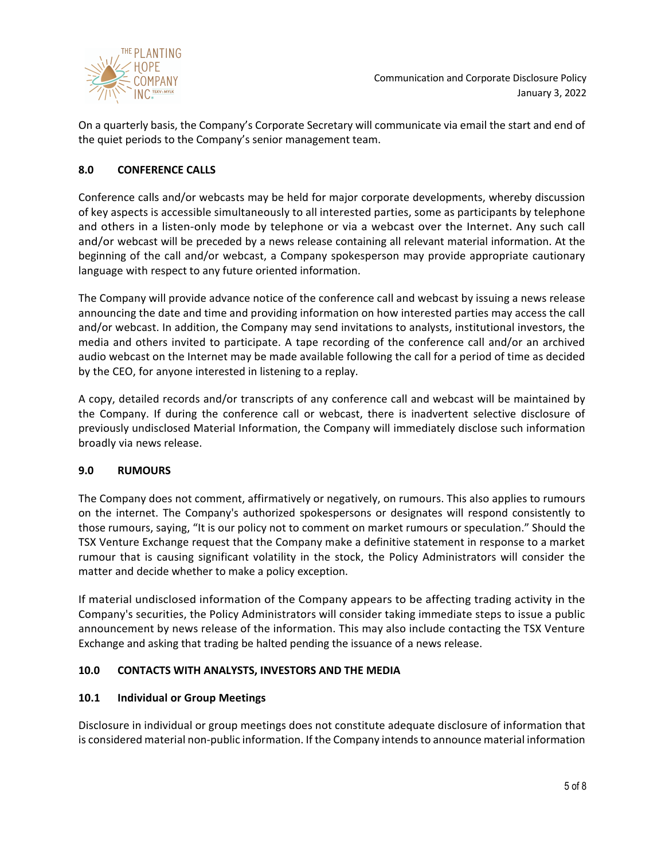

On a quarterly basis, the Company's Corporate Secretary will communicate via email the start and end of the quiet periods to the Company's senior management team.

## **8.0 CONFERENCE CALLS**

Conference calls and/or webcasts may be held for major corporate developments, whereby discussion of key aspects is accessible simultaneously to all interested parties, some as participants by telephone and others in a listen-only mode by telephone or via a webcast over the Internet. Any such call and/or webcast will be preceded by a news release containing all relevant material information. At the beginning of the call and/or webcast, a Company spokesperson may provide appropriate cautionary language with respect to any future oriented information.

The Company will provide advance notice of the conference call and webcast by issuing a news release announcing the date and time and providing information on how interested parties may access the call and/or webcast. In addition, the Company may send invitations to analysts, institutional investors, the media and others invited to participate. A tape recording of the conference call and/or an archived audio webcast on the Internet may be made available following the call for a period of time as decided by the CEO, for anyone interested in listening to a replay.

A copy, detailed records and/or transcripts of any conference call and webcast will be maintained by the Company. If during the conference call or webcast, there is inadvertent selective disclosure of previously undisclosed Material Information, the Company will immediately disclose such information broadly via news release.

## **9.0 RUMOURS**

The Company does not comment, affirmatively or negatively, on rumours. This also applies to rumours on the internet. The Company's authorized spokespersons or designates will respond consistently to those rumours, saying, "It is our policy not to comment on market rumours or speculation." Should the TSX Venture Exchange request that the Company make a definitive statement in response to a market rumour that is causing significant volatility in the stock, the Policy Administrators will consider the matter and decide whether to make a policy exception.

If material undisclosed information of the Company appears to be affecting trading activity in the Company's securities, the Policy Administrators will consider taking immediate steps to issue a public announcement by news release of the information. This may also include contacting the TSX Venture Exchange and asking that trading be halted pending the issuance of a news release.

## **10.0 CONTACTS WITH ANALYSTS, INVESTORS AND THE MEDIA**

#### **10.1 Individual or Group Meetings**

Disclosure in individual or group meetings does not constitute adequate disclosure of information that is considered material non-public information. If the Company intends to announce material information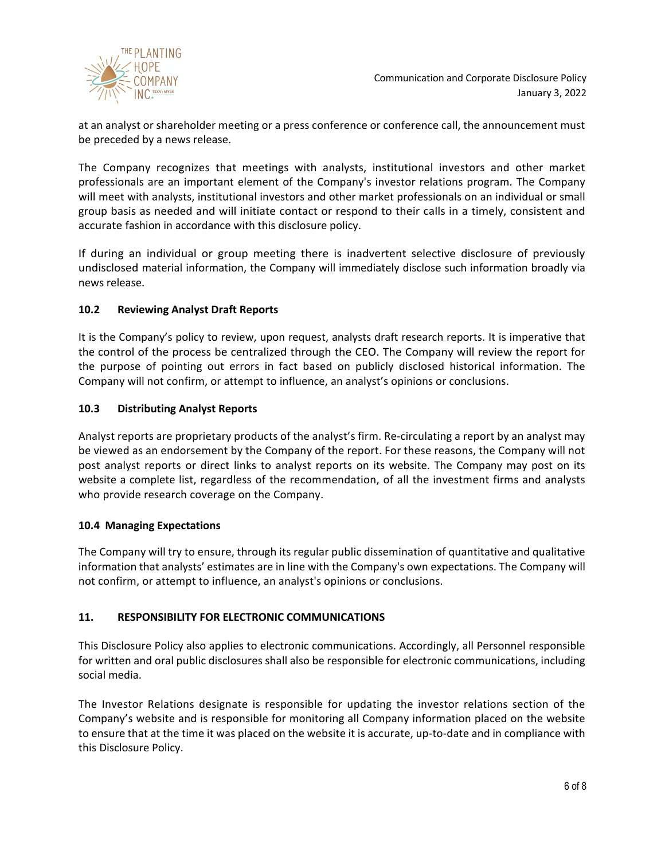

at an analyst or shareholder meeting or a press conference or conference call, the announcement must be preceded by a news release.

The Company recognizes that meetings with analysts, institutional investors and other market professionals are an important element of the Company's investor relations program. The Company will meet with analysts, institutional investors and other market professionals on an individual or small group basis as needed and will initiate contact or respond to their calls in a timely, consistent and accurate fashion in accordance with this disclosure policy.

If during an individual or group meeting there is inadvertent selective disclosure of previously undisclosed material information, the Company will immediately disclose such information broadly via news release.

## **10.2 Reviewing Analyst Draft Reports**

It is the Company's policy to review, upon request, analysts draft research reports. It is imperative that the control of the process be centralized through the CEO. The Company will review the report for the purpose of pointing out errors in fact based on publicly disclosed historical information. The Company will not confirm, or attempt to influence, an analyst's opinions or conclusions.

### **10.3 Distributing Analyst Reports**

Analyst reports are proprietary products of the analyst's firm. Re-circulating a report by an analyst may be viewed as an endorsement by the Company of the report. For these reasons, the Company will not post analyst reports or direct links to analyst reports on its website. The Company may post on its website a complete list, regardless of the recommendation, of all the investment firms and analysts who provide research coverage on the Company.

#### **10.4 Managing Expectations**

The Company will try to ensure, through its regular public dissemination of quantitative and qualitative information that analysts' estimates are in line with the Company's own expectations. The Company will not confirm, or attempt to influence, an analyst's opinions or conclusions.

#### **11. RESPONSIBILITY FOR ELECTRONIC COMMUNICATIONS**

This Disclosure Policy also applies to electronic communications. Accordingly, all Personnel responsible for written and oral public disclosures shall also be responsible for electronic communications, including social media.

The Investor Relations designate is responsible for updating the investor relations section of the Company's website and is responsible for monitoring all Company information placed on the website to ensure that at the time it was placed on the website it is accurate, up-to-date and in compliance with this Disclosure Policy.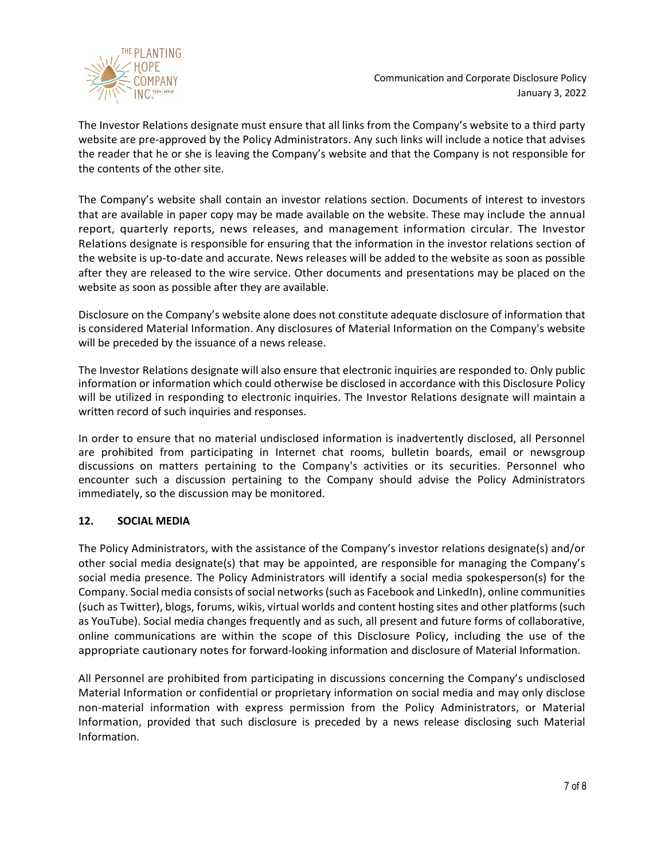

The Investor Relations designate must ensure that all links from the Company's website to a third party website are pre-approved by the Policy Administrators. Any such links will include a notice that advises the reader that he or she is leaving the Company's website and that the Company is not responsible for the contents of the other site.

The Company's website shall contain an investor relations section. Documents of interest to investors that are available in paper copy may be made available on the website. These may include the annual report, quarterly reports, news releases, and management information circular. The Investor Relations designate is responsible for ensuring that the information in the investor relations section of the website is up-to-date and accurate. News releases will be added to the website as soon as possible after they are released to the wire service. Other documents and presentations may be placed on the website as soon as possible after they are available.

Disclosure on the Company's website alone does not constitute adequate disclosure of information that is considered Material Information. Any disclosures of Material Information on the Company's website will be preceded by the issuance of a news release.

The Investor Relations designate will also ensure that electronic inquiries are responded to. Only public information or information which could otherwise be disclosed in accordance with this Disclosure Policy will be utilized in responding to electronic inquiries. The Investor Relations designate will maintain a written record of such inquiries and responses.

In order to ensure that no material undisclosed information is inadvertently disclosed, all Personnel are prohibited from participating in Internet chat rooms, bulletin boards, email or newsgroup discussions on matters pertaining to the Company's activities or its securities. Personnel who encounter such a discussion pertaining to the Company should advise the Policy Administrators immediately, so the discussion may be monitored.

## **12. SOCIAL MEDIA**

The Policy Administrators, with the assistance of the Company's investor relations designate(s) and/or other social media designate(s) that may be appointed, are responsible for managing the Company's social media presence. The Policy Administrators will identify a social media spokesperson(s) for the Company. Social media consists of social networks (such as Facebook and LinkedIn), online communities (such as Twitter), blogs, forums, wikis, virtual worlds and content hosting sites and other platforms (such as YouTube). Social media changes frequently and as such, all present and future forms of collaborative, online communications are within the scope of this Disclosure Policy, including the use of the appropriate cautionary notes for forward-looking information and disclosure of Material Information.

All Personnel are prohibited from participating in discussions concerning the Company's undisclosed Material Information or confidential or proprietary information on social media and may only disclose non-material information with express permission from the Policy Administrators, or Material Information, provided that such disclosure is preceded by a news release disclosing such Material Information.